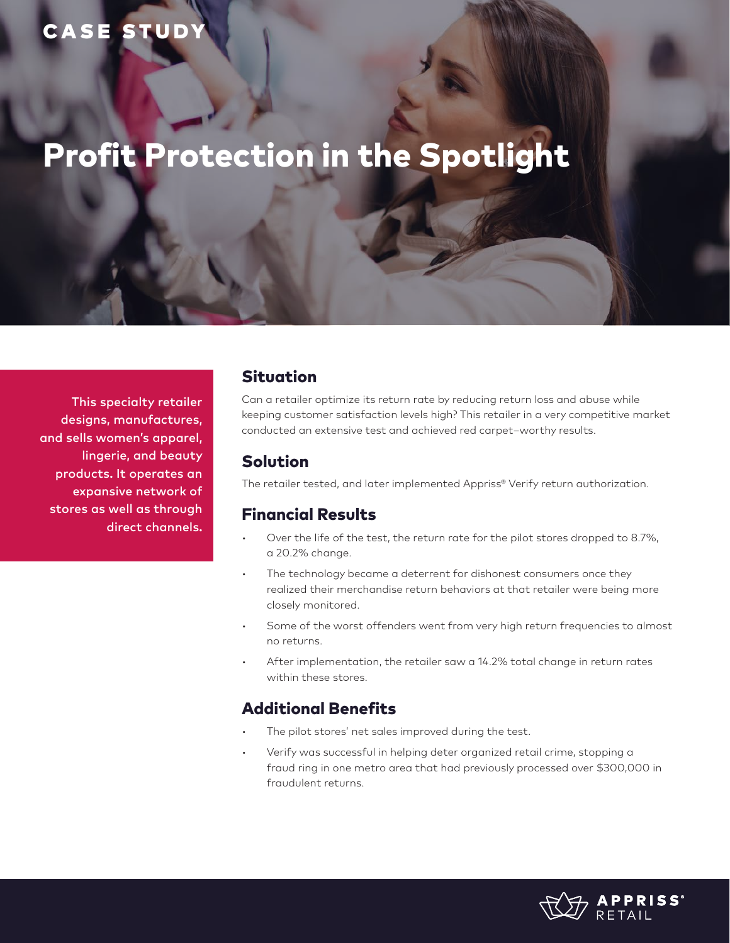# CASE STUD

# Profit Protection in the Spotlight

This specialty retailer designs, manufactures, and sells women's apparel, lingerie, and beauty products. It operates an expansive network of stores as well as through direct channels.

#### Situation

Can a retailer optimize its return rate by reducing return loss and abuse while keeping customer satisfaction levels high? This retailer in a very competitive market conducted an extensive test and achieved red carpet–worthy results.

## Solution

The retailer tested, and later implemented Appriss® Verify return authorization.

#### Financial Results

- Over the life of the test, the return rate for the pilot stores dropped to 8.7%, a 20.2% change.
- The technology became a deterrent for dishonest consumers once they realized their merchandise return behaviors at that retailer were being more closely monitored.
- Some of the worst offenders went from very high return frequencies to almost no returns.
- After implementation, the retailer saw a 14.2% total change in return rates within these stores.

## Additional Benefits

- The pilot stores' net sales improved during the test.
- Verify was successful in helping deter organized retail crime, stopping a fraud ring in one metro area that had previously processed over \$300,000 in fraudulent returns.